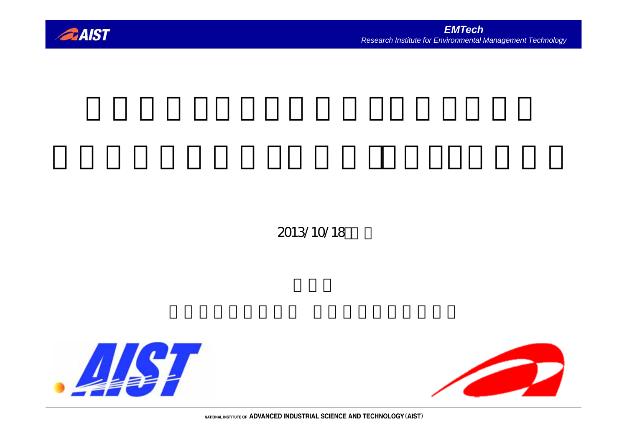

## 2013/10/18



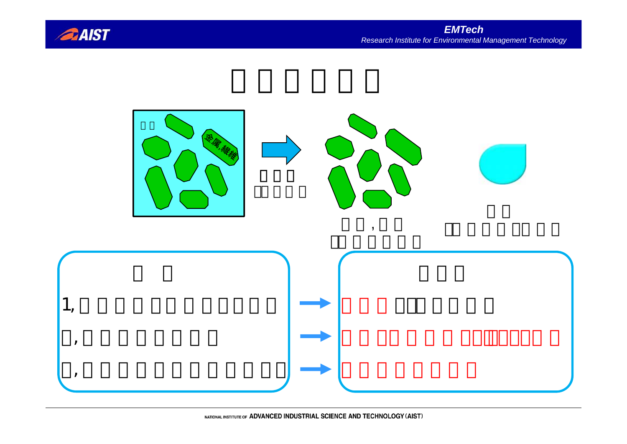

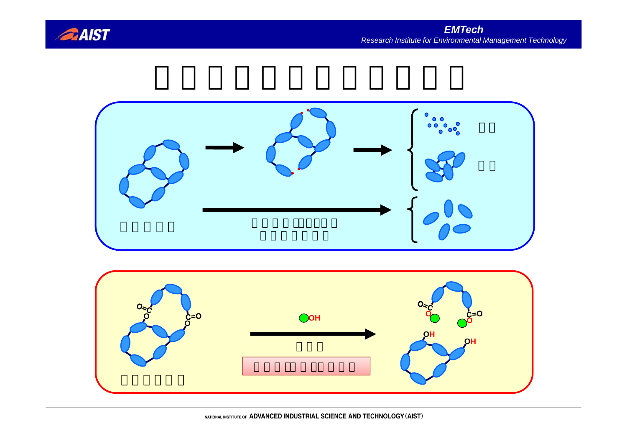



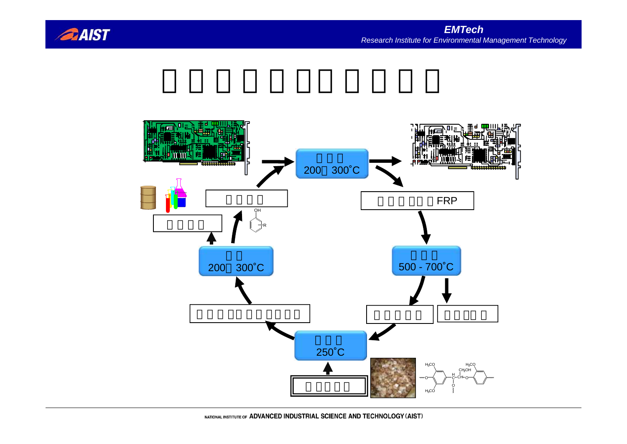

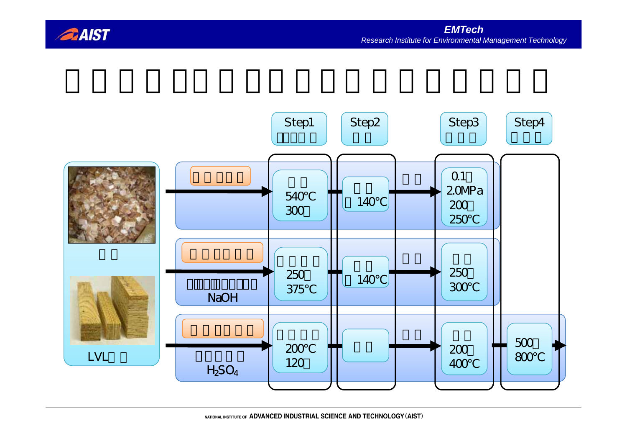

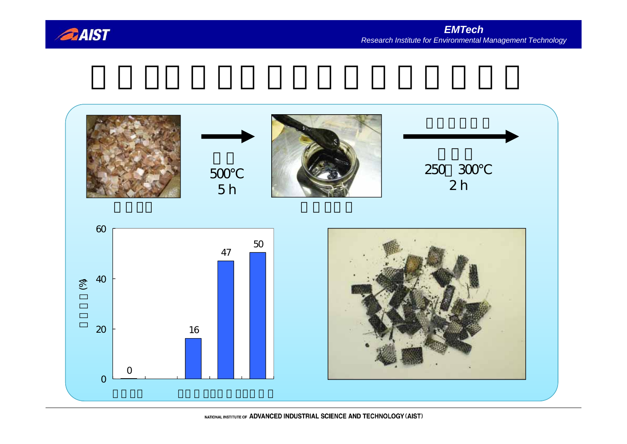

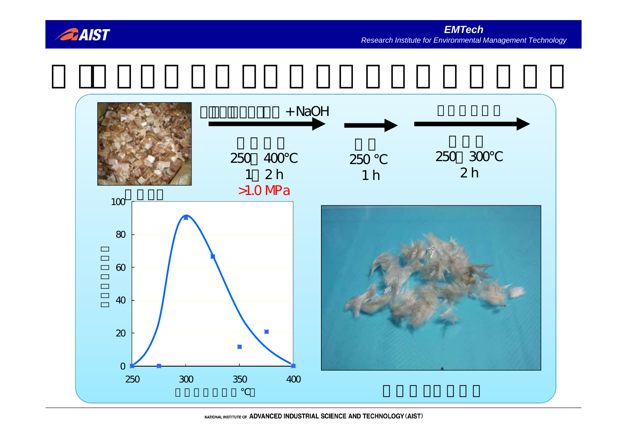

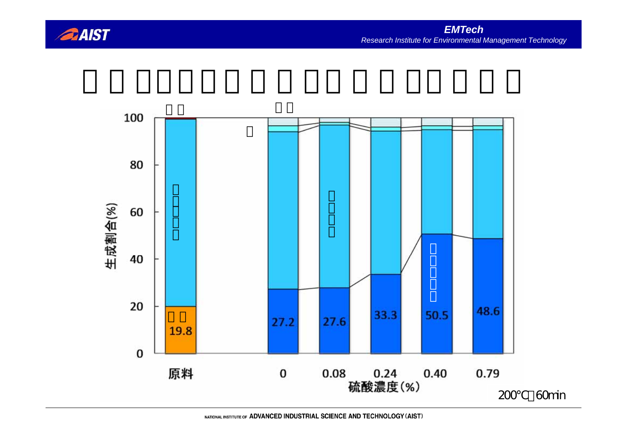

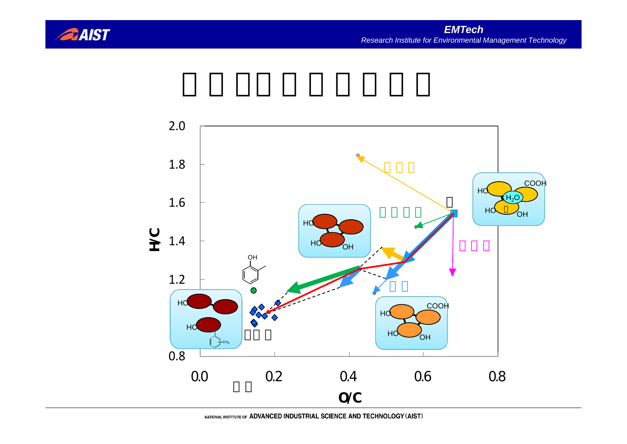

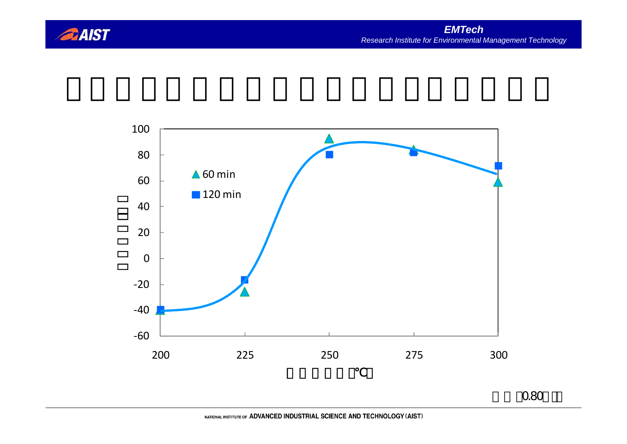



硫酸:0.80wt%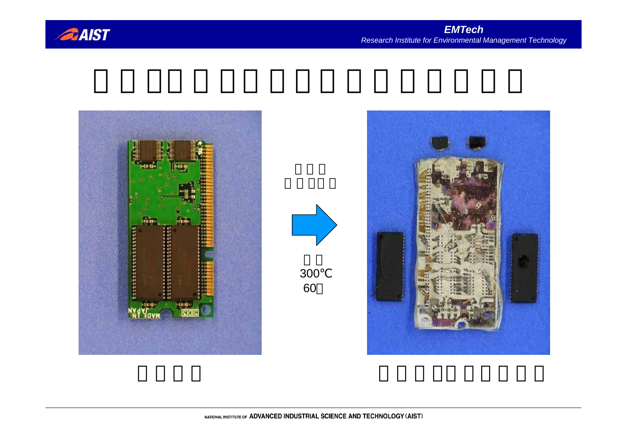





300 60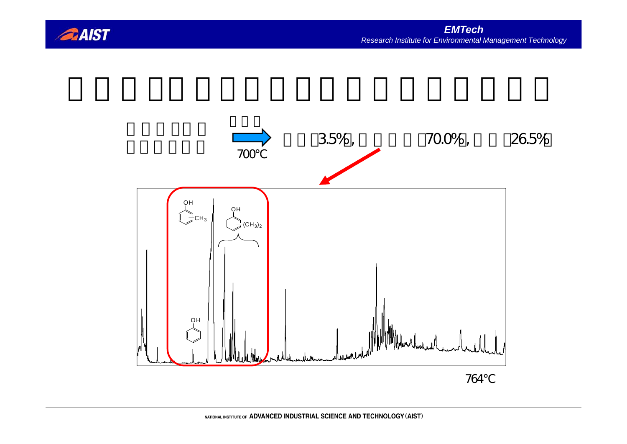

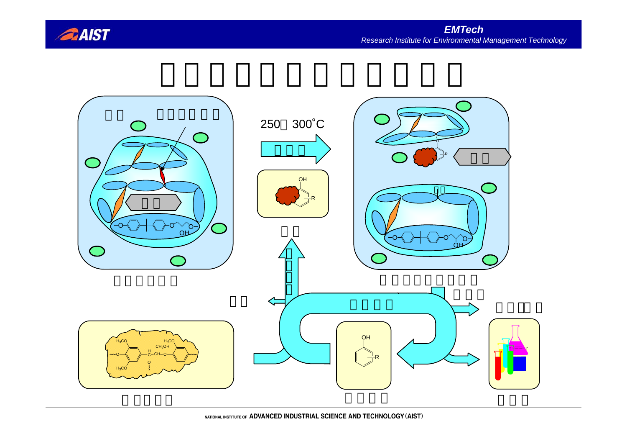